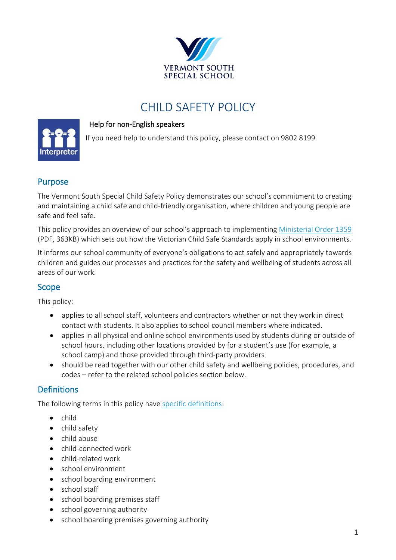

# CHILD SAFETY POLICY

#### Help for non-English speakers

If you need help to understand this policy, please contact on 9802 8199.



#### Purpose

The Vermont South Special Child Safety Policy demonstrates our school's commitment to creating and maintaining a child safe and child-friendly organisation, where children and young people are safe and feel safe.

This policy provides an overview of our school's approach to implementing [Ministerial Order 1359](https://www.education.vic.gov.au/Documents/about/programs/health/protect/Ministerial_Order.pdf) (PDF, 363KB) which sets out how the Victorian Child Safe Standards apply in school environments.

It informs our school community of everyone's obligations to act safely and appropriately towards children and guides our processes and practices for the safety and wellbeing of students across all areas of our work.

#### Scope

This policy:

- applies to all school staff, volunteers and contractors whether or not they work in direct contact with students. It also applies to school council members where indicated.
- applies in all physical and online school environments used by students during or outside of school hours, including other locations provided by for a student's use (for example, a school camp) and those provided through third-party providers
- should be read together with our other child safety and wellbeing policies, procedures, and codes – refer to the related school policies section below.

#### **Definitions**

The following terms in this policy hav[e specific definitions:](https://www.vic.gov.au/child-safe-standards-definitions)

- child
- child safety
- child abuse
- child-connected work
- child-related work
- school environment
- school boarding environment
- school staff
- school boarding premises staff
- school governing authority
- school boarding premises governing authority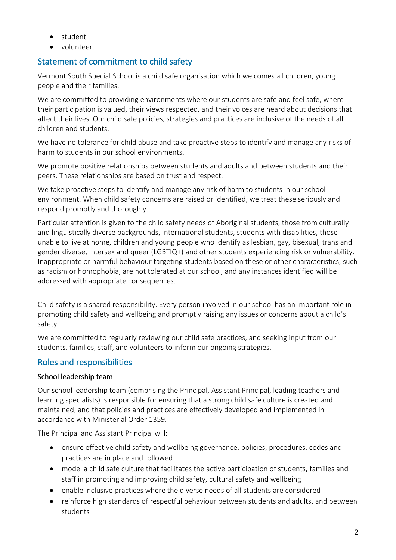- student
- volunteer.

## Statement of commitment to child safety

Vermont South Special School is a child safe organisation which welcomes all children, young people and their families.

We are committed to providing environments where our students are safe and feel safe, where their participation is valued, their views respected, and their voices are heard about decisions that affect their lives. Our child safe policies, strategies and practices are inclusive of the needs of all children and students.

We have no tolerance for child abuse and take proactive steps to identify and manage any risks of harm to students in our school environments.

We promote positive relationships between students and adults and between students and their peers. These relationships are based on trust and respect.

We take proactive steps to identify and manage any risk of harm to students in our school environment. When child safety concerns are raised or identified, we treat these seriously and respond promptly and thoroughly.

Particular attention is given to the child safety needs of Aboriginal students, those from culturally and linguistically diverse backgrounds, international students, students with disabilities, those unable to live at home, children and young people who identify as lesbian, gay, bisexual, trans and gender diverse, intersex and queer (LGBTIQ+) and other students experiencing risk or vulnerability. Inappropriate or harmful behaviour targeting students based on these or other characteristics, such as racism or homophobia, are not tolerated at our school, and any instances identified will be addressed with appropriate consequences.

Child safety is a shared responsibility. Every person involved in our school has an important role in promoting child safety and wellbeing and promptly raising any issues or concerns about a child's safety.

We are committed to regularly reviewing our child safe practices, and seeking input from our students, families, staff, and volunteers to inform our ongoing strategies.

## Roles and responsibilities

## School leadership team

Our school leadership team (comprising the Principal, Assistant Principal, leading teachers and learning specialists) is responsible for ensuring that a strong child safe culture is created and maintained, and that policies and practices are effectively developed and implemented in accordance with Ministerial Order 1359.

The Principal and Assistant Principal will:

- ensure effective child safety and wellbeing governance, policies, procedures, codes and practices are in place and followed
- model a child safe culture that facilitates the active participation of students, families and staff in promoting and improving child safety, cultural safety and wellbeing
- enable inclusive practices where the diverse needs of all students are considered
- reinforce high standards of respectful behaviour between students and adults, and between students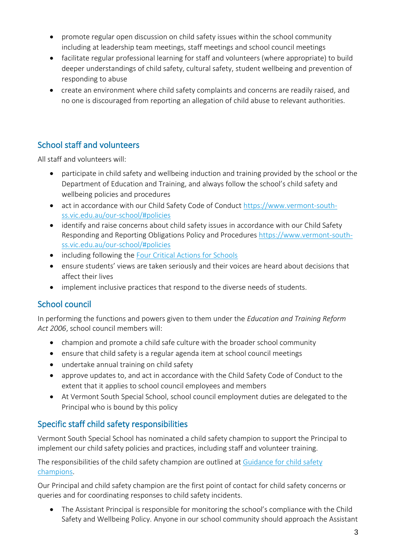- promote regular open discussion on child safety issues within the school community including at leadership team meetings, staff meetings and school council meetings
- facilitate regular professional learning for staff and volunteers (where appropriate) to build deeper understandings of child safety, cultural safety, student wellbeing and prevention of responding to abuse
- create an environment where child safety complaints and concerns are readily raised, and no one is discouraged from reporting an allegation of child abuse to relevant authorities.

## School staff and volunteers

All staff and volunteers will:

- participate in child safety and wellbeing induction and training provided by the school or the Department of Education and Training, and always follow the school's child safety and wellbeing policies and procedures
- act in accordance with our Child Safety Code of Conduct [https://www.vermont-south](https://aus01.safelinks.protection.outlook.com/?url=https%3A%2F%2Fwww.vermont-south-ss.vic.edu.au%2Four-school%2F%23policies&data=05%7C01%7CClare.Merison%40education.vic.gov.au%7C6ba670ff511f4f532adb08da3c59d660%7Cd96cb3371a8744cfb69b3cec334a4c1f%7C0%7C0%7C637888653783038577%7CUnknown%7CTWFpbGZsb3d8eyJWIjoiMC4wLjAwMDAiLCJQIjoiV2luMzIiLCJBTiI6Ik1haWwiLCJXVCI6Mn0%3D%7C3000%7C%7C%7C&sdata=BaAWZu4g1EDS3fOONNzckC9xj1gZliD8ihThQNRpZ2A%3D&reserved=0)[ss.vic.edu.au/our-school/#policies](https://aus01.safelinks.protection.outlook.com/?url=https%3A%2F%2Fwww.vermont-south-ss.vic.edu.au%2Four-school%2F%23policies&data=05%7C01%7CClare.Merison%40education.vic.gov.au%7C6ba670ff511f4f532adb08da3c59d660%7Cd96cb3371a8744cfb69b3cec334a4c1f%7C0%7C0%7C637888653783038577%7CUnknown%7CTWFpbGZsb3d8eyJWIjoiMC4wLjAwMDAiLCJQIjoiV2luMzIiLCJBTiI6Ik1haWwiLCJXVCI6Mn0%3D%7C3000%7C%7C%7C&sdata=BaAWZu4g1EDS3fOONNzckC9xj1gZliD8ihThQNRpZ2A%3D&reserved=0)
- identify and raise concerns about child safety issues in accordance with our Child Safety Responding and Reporting Obligations Policy and Procedures [https://www.vermont-south](https://aus01.safelinks.protection.outlook.com/?url=https%3A%2F%2Fwww.vermont-south-ss.vic.edu.au%2Four-school%2F%23policies&data=05%7C01%7CClare.Merison%40education.vic.gov.au%7C6ba670ff511f4f532adb08da3c59d660%7Cd96cb3371a8744cfb69b3cec334a4c1f%7C0%7C0%7C637888653783038577%7CUnknown%7CTWFpbGZsb3d8eyJWIjoiMC4wLjAwMDAiLCJQIjoiV2luMzIiLCJBTiI6Ik1haWwiLCJXVCI6Mn0%3D%7C3000%7C%7C%7C&sdata=BaAWZu4g1EDS3fOONNzckC9xj1gZliD8ihThQNRpZ2A%3D&reserved=0)[ss.vic.edu.au/our-school/#policies](https://aus01.safelinks.protection.outlook.com/?url=https%3A%2F%2Fwww.vermont-south-ss.vic.edu.au%2Four-school%2F%23policies&data=05%7C01%7CClare.Merison%40education.vic.gov.au%7C6ba670ff511f4f532adb08da3c59d660%7Cd96cb3371a8744cfb69b3cec334a4c1f%7C0%7C0%7C637888653783038577%7CUnknown%7CTWFpbGZsb3d8eyJWIjoiMC4wLjAwMDAiLCJQIjoiV2luMzIiLCJBTiI6Ik1haWwiLCJXVCI6Mn0%3D%7C3000%7C%7C%7C&sdata=BaAWZu4g1EDS3fOONNzckC9xj1gZliD8ihThQNRpZ2A%3D&reserved=0)
- including following the [Four Critical Actions for Schools](https://www.education.vic.gov.au/school/teachers/health/childprotection/Pages/report.aspx)
- ensure students' views are taken seriously and their voices are heard about decisions that affect their lives
- implement inclusive practices that respond to the diverse needs of students.

## School council

In performing the functions and powers given to them under the *Education and Training Reform Act 2006*, school council members will:

- champion and promote a child safe culture with the broader school community
- ensure that child safety is a regular agenda item at school council meetings
- undertake annual training on child safety
- approve updates to, and act in accordance with the Child Safety Code of Conduct to the extent that it applies to school council employees and members
- At Vermont South Special School, school council employment duties are delegated to the Principal who is bound by this policy

## Specific staff child safety responsibilities

Vermont South Special School has nominated a child safety champion to support the Principal to implement our child safety policies and practices, including staff and volunteer training.

The responsibilities of the child safety champion are outlined at Guidance for child safety [champions.](https://www.vic.gov.au/guidance-child-safety-champions)

Our Principal and child safety champion are the first point of contact for child safety concerns or queries and for coordinating responses to child safety incidents.

• The Assistant Principal is responsible for monitoring the school's compliance with the Child Safety and Wellbeing Policy. Anyone in our school community should approach the Assistant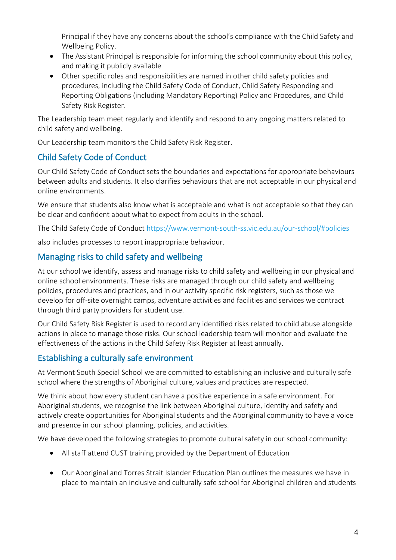Principal if they have any concerns about the school's compliance with the Child Safety and Wellbeing Policy.

- The Assistant Principal is responsible for informing the school community about this policy, and making it publicly available
- Other specific roles and responsibilities are named in other child safety policies and procedures, including the Child Safety Code of Conduct, Child Safety Responding and Reporting Obligations (including Mandatory Reporting) Policy and Procedures, and Child Safety Risk Register.

The Leadership team meet regularly and identify and respond to any ongoing matters related to child safety and wellbeing.

Our Leadership team monitors the Child Safety Risk Register.

## Child Safety Code of Conduct

Our Child Safety Code of Conduct sets the boundaries and expectations for appropriate behaviours between adults and students. It also clarifies behaviours that are not acceptable in our physical and online environments.

We ensure that students also know what is acceptable and what is not acceptable so that they can be clear and confident about what to expect from adults in the school.

The Child Safety Code of Conduct [https://www.vermont-south-ss.vic.edu.au/our-school/#policies](https://aus01.safelinks.protection.outlook.com/?url=https%3A%2F%2Fwww.vermont-south-ss.vic.edu.au%2Four-school%2F%23policies&data=05%7C01%7CClare.Merison%40education.vic.gov.au%7C6ba670ff511f4f532adb08da3c59d660%7Cd96cb3371a8744cfb69b3cec334a4c1f%7C0%7C0%7C637888653783038577%7CUnknown%7CTWFpbGZsb3d8eyJWIjoiMC4wLjAwMDAiLCJQIjoiV2luMzIiLCJBTiI6Ik1haWwiLCJXVCI6Mn0%3D%7C3000%7C%7C%7C&sdata=BaAWZu4g1EDS3fOONNzckC9xj1gZliD8ihThQNRpZ2A%3D&reserved=0)

also includes processes to report inappropriate behaviour.

#### Managing risks to child safety and wellbeing

At our school we identify, assess and manage risks to child safety and wellbeing in our physical and online school environments. These risks are managed through our child safety and wellbeing policies, procedures and practices, and in our activity specific risk registers, such as those we develop for off-site overnight camps, adventure activities and facilities and services we contract through third party providers for student use.

Our Child Safety Risk Register is used to record any identified risks related to child abuse alongside actions in place to manage those risks. Our school leadership team will monitor and evaluate the effectiveness of the actions in the Child Safety Risk Register at least annually.

#### Establishing a culturally safe environment

At Vermont South Special School we are committed to establishing an inclusive and culturally safe school where the strengths of Aboriginal culture, values and practices are respected.

We think about how every student can have a positive experience in a safe environment. For Aboriginal students, we recognise the link between Aboriginal culture, identity and safety and actively create opportunities for Aboriginal students and the Aboriginal community to have a voice and presence in our school planning, policies, and activities.

We have developed the following strategies to promote cultural safety in our school community:

- All staff attend CUST training provided by the Department of Education
- Our Aboriginal and Torres Strait Islander Education Plan outlines the measures we have in place to maintain an inclusive and culturally safe school for Aboriginal children and students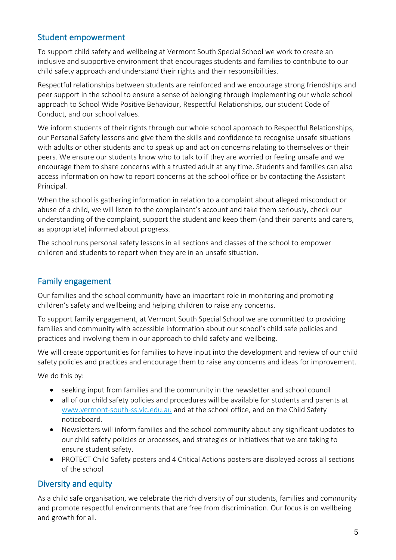#### Student empowerment

To support child safety and wellbeing at Vermont South Special School we work to create an inclusive and supportive environment that encourages students and families to contribute to our child safety approach and understand their rights and their responsibilities.

Respectful relationships between students are reinforced and we encourage strong friendships and peer support in the school to ensure a sense of belonging through implementing our whole school approach to School Wide Positive Behaviour, Respectful Relationships, our student Code of Conduct, and our school values.

We inform students of their rights through our whole school approach to Respectful Relationships, our Personal Safety lessons and give them the skills and confidence to recognise unsafe situations with adults or other students and to speak up and act on concerns relating to themselves or their peers. We ensure our students know who to talk to if they are worried or feeling unsafe and we encourage them to share concerns with a trusted adult at any time. Students and families can also access information on how to report concerns at the school office or by contacting the Assistant Principal.

When the school is gathering information in relation to a complaint about alleged misconduct or abuse of a child, we will listen to the complainant's account and take them seriously, check our understanding of the complaint, support the student and keep them (and their parents and carers, as appropriate) informed about progress.

The school runs personal safety lessons in all sections and classes of the school to empower children and students to report when they are in an unsafe situation.

## Family engagement

Our families and the school community have an important role in monitoring and promoting children's safety and wellbeing and helping children to raise any concerns.

To support family engagement, at Vermont South Special School we are committed to providing families and community with accessible information about our school's child safe policies and practices and involving them in our approach to child safety and wellbeing.

We will create opportunities for families to have input into the development and review of our child safety policies and practices and encourage them to raise any concerns and ideas for improvement.

We do this by:

- seeking input from families and the community in the newsletter and school council
- all of our child safety policies and procedures will be available for students and parents at [www.vermont-south-ss.vic.edu.au](http://www.vermont-south-ss.vic.edu.au/) and at the school office, and on the Child Safety noticeboard.
- Newsletters will inform families and the school community about any significant updates to our child safety policies or processes, and strategies or initiatives that we are taking to ensure student safety.
- PROTECT Child Safety posters and 4 Critical Actions posters are displayed across all sections of the school

## Diversity and equity

As a child safe organisation, we celebrate the rich diversity of our students, families and community and promote respectful environments that are free from discrimination. Our focus is on wellbeing and growth for all.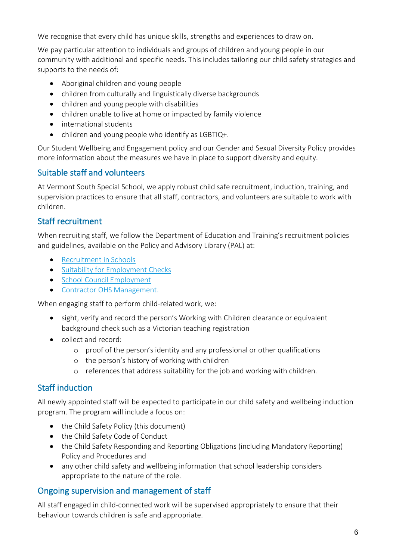We recognise that every child has unique skills, strengths and experiences to draw on.

We pay particular attention to individuals and groups of children and young people in our community with additional and specific needs. This includes tailoring our child safety strategies and supports to the needs of:

- Aboriginal children and young people
- children from culturally and linguistically diverse backgrounds
- children and young people with disabilities
- children unable to live at home or impacted by family violence
- international students
- children and young people who identify as LGBTIQ+.

Our Student Wellbeing and Engagement policy and our Gender and Sexual Diversity Policy provides more information about the measures we have in place to support diversity and equity.

#### Suitable staff and volunteers

At Vermont South Special School, we apply robust child safe recruitment, induction, training, and supervision practices to ensure that all staff, contractors, and volunteers are suitable to work with children.

#### Staff recruitment

When recruiting staff, we follow the Department of Education and Training's recruitment policies and guidelines, available on the Policy and Advisory Library (PAL) at:

- [Recruitment in Schools](https://www2.education.vic.gov.au/pal/recruitment-schools/overview)
- [Suitability for Employment Checks](https://www2.education.vic.gov.au/pal/suitability-employment-checks/overview)
- [School Council Employment](https://www2.education.vic.gov.au/pal/school-council-employment/overview)
- [Contractor OHS Management.](https://www2.education.vic.gov.au/pal/contractor-ohs-management/policy)

When engaging staff to perform child-related work, we:

- sight, verify and record the person's Working with Children clearance or equivalent background check such as a Victorian teaching registration
- collect and record:
	- o proof of the person's identity and any professional or other qualifications
	- o the person's history of working with children
	- o references that address suitability for the job and working with children.

#### Staff induction

All newly appointed staff will be expected to participate in our child safety and wellbeing induction program. The program will include a focus on:

- the Child Safety Policy (this document)
- the Child Safety Code of Conduct
- the Child Safety Responding and Reporting Obligations (including Mandatory Reporting) Policy and Procedures and
- any other child safety and wellbeing information that school leadership considers appropriate to the nature of the role.

#### Ongoing supervision and management of staff

All staff engaged in child-connected work will be supervised appropriately to ensure that their behaviour towards children is safe and appropriate.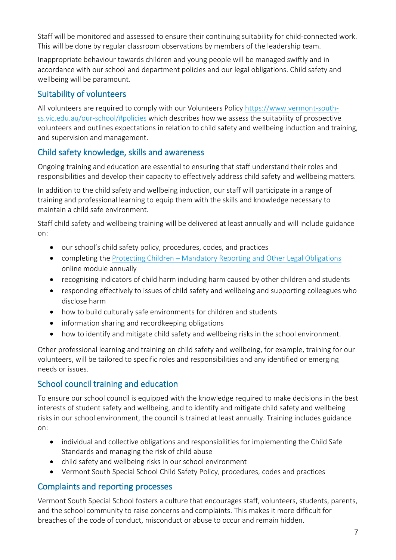Staff will be monitored and assessed to ensure their continuing suitability for child-connected work. This will be done by regular classroom observations by members of the leadership team.

Inappropriate behaviour towards children and young people will be managed swiftly and in accordance with our school and department policies and our legal obligations. Child safety and wellbeing will be paramount.

#### Suitability of volunteers

All volunteers are required to comply with our Volunteers Policy [https://www.vermont-south](https://aus01.safelinks.protection.outlook.com/?url=https%3A%2F%2Fwww.vermont-south-ss.vic.edu.au%2Four-school%2F%23policies&data=05%7C01%7CClare.Merison%40education.vic.gov.au%7C6ba670ff511f4f532adb08da3c59d660%7Cd96cb3371a8744cfb69b3cec334a4c1f%7C0%7C0%7C637888653783038577%7CUnknown%7CTWFpbGZsb3d8eyJWIjoiMC4wLjAwMDAiLCJQIjoiV2luMzIiLCJBTiI6Ik1haWwiLCJXVCI6Mn0%3D%7C3000%7C%7C%7C&sdata=BaAWZu4g1EDS3fOONNzckC9xj1gZliD8ihThQNRpZ2A%3D&reserved=0)[ss.vic.edu.au/our-school/#policies](https://aus01.safelinks.protection.outlook.com/?url=https%3A%2F%2Fwww.vermont-south-ss.vic.edu.au%2Four-school%2F%23policies&data=05%7C01%7CClare.Merison%40education.vic.gov.au%7C6ba670ff511f4f532adb08da3c59d660%7Cd96cb3371a8744cfb69b3cec334a4c1f%7C0%7C0%7C637888653783038577%7CUnknown%7CTWFpbGZsb3d8eyJWIjoiMC4wLjAwMDAiLCJQIjoiV2luMzIiLCJBTiI6Ik1haWwiLCJXVCI6Mn0%3D%7C3000%7C%7C%7C&sdata=BaAWZu4g1EDS3fOONNzckC9xj1gZliD8ihThQNRpZ2A%3D&reserved=0) which describes how we assess the suitability of prospective volunteers and outlines expectations in relation to child safety and wellbeing induction and training, and supervision and management.

#### Child safety knowledge, skills and awareness

Ongoing training and education are essential to ensuring that staff understand their roles and responsibilities and develop their capacity to effectively address child safety and wellbeing matters.

In addition to the child safety and wellbeing induction, our staff will participate in a range of training and professional learning to equip them with the skills and knowledge necessary to maintain a child safe environment.

Staff child safety and wellbeing training will be delivered at least annually and will include guidance on:

- our school's child safety policy, procedures, codes, and practices
- completing the Protecting Children [Mandatory Reporting and Other Legal Obligations](http://elearn.com.au/det/protectingchildren/) online module annually
- recognising indicators of child harm including harm caused by other children and students
- responding effectively to issues of child safety and wellbeing and supporting colleagues who disclose harm
- how to build culturally safe environments for children and students
- information sharing and recordkeeping obligations
- how to identify and mitigate child safety and wellbeing risks in the school environment.

Other professional learning and training on child safety and wellbeing, for example, training for our volunteers, will be tailored to specific roles and responsibilities and any identified or emerging needs or issues.

#### School council training and education

To ensure our school council is equipped with the knowledge required to make decisions in the best interests of student safety and wellbeing, and to identify and mitigate child safety and wellbeing risks in our school environment, the council is trained at least annually. Training includes guidance on:

- individual and collective obligations and responsibilities for implementing the Child Safe Standards and managing the risk of child abuse
- child safety and wellbeing risks in our school environment
- Vermont South Special School Child Safety Policy, procedures, codes and practices

## Complaints and reporting processes

Vermont South Special School fosters a culture that encourages staff, volunteers, students, parents, and the school community to raise concerns and complaints. This makes it more difficult for breaches of the code of conduct, misconduct or abuse to occur and remain hidden.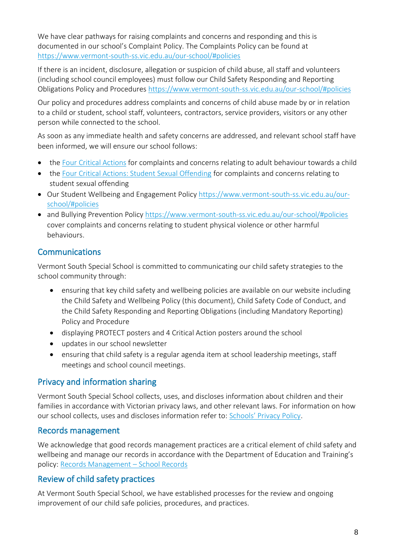We have clear pathways for raising complaints and concerns and responding and this is documented in our school's Complaint Policy. The Complaints Policy can be found at [https://www.vermont-south-ss.vic.edu.au/our-school/#policies](https://aus01.safelinks.protection.outlook.com/?url=https%3A%2F%2Fwww.vermont-south-ss.vic.edu.au%2Four-school%2F%23policies&data=05%7C01%7CClare.Merison%40education.vic.gov.au%7C6ba670ff511f4f532adb08da3c59d660%7Cd96cb3371a8744cfb69b3cec334a4c1f%7C0%7C0%7C637888653783038577%7CUnknown%7CTWFpbGZsb3d8eyJWIjoiMC4wLjAwMDAiLCJQIjoiV2luMzIiLCJBTiI6Ik1haWwiLCJXVCI6Mn0%3D%7C3000%7C%7C%7C&sdata=BaAWZu4g1EDS3fOONNzckC9xj1gZliD8ihThQNRpZ2A%3D&reserved=0)

If there is an incident, disclosure, allegation or suspicion of child abuse, all staff and volunteers (including school council employees) must follow our Child Safety Responding and Reporting Obligations Policy and Procedures [https://www.vermont-south-ss.vic.edu.au/our-school/#policies](https://aus01.safelinks.protection.outlook.com/?url=https%3A%2F%2Fwww.vermont-south-ss.vic.edu.au%2Four-school%2F%23policies&data=05%7C01%7CClare.Merison%40education.vic.gov.au%7C6ba670ff511f4f532adb08da3c59d660%7Cd96cb3371a8744cfb69b3cec334a4c1f%7C0%7C0%7C637888653783038577%7CUnknown%7CTWFpbGZsb3d8eyJWIjoiMC4wLjAwMDAiLCJQIjoiV2luMzIiLCJBTiI6Ik1haWwiLCJXVCI6Mn0%3D%7C3000%7C%7C%7C&sdata=BaAWZu4g1EDS3fOONNzckC9xj1gZliD8ihThQNRpZ2A%3D&reserved=0)

Our policy and procedures address complaints and concerns of child abuse made by or in relation to a child or student, school staff, volunteers, contractors, service providers, visitors or any other person while connected to the school.

As soon as any immediate health and safety concerns are addressed, and relevant school staff have been informed, we will ensure our school follows:

- the [Four Critical](https://www.education.vic.gov.au/Documents/about/programs/health/protect/FourCriticalActions_ChildAbuse.pdf) Actions for complaints and concerns relating to adult behaviour towards a child
- the [Four Critical Actions: Student Sexual Offending](https://www.education.vic.gov.au/school/teachers/health/childprotection/Pages/stusexual.aspx) for complaints and concerns relating to student sexual offending
- Our Student Wellbeing and Engagement Policy [https://www.vermont-south-ss.vic.edu.au/our](https://aus01.safelinks.protection.outlook.com/?url=https%3A%2F%2Fwww.vermont-south-ss.vic.edu.au%2Four-school%2F%23policies&data=05%7C01%7CClare.Merison%40education.vic.gov.au%7C6ba670ff511f4f532adb08da3c59d660%7Cd96cb3371a8744cfb69b3cec334a4c1f%7C0%7C0%7C637888653783038577%7CUnknown%7CTWFpbGZsb3d8eyJWIjoiMC4wLjAwMDAiLCJQIjoiV2luMzIiLCJBTiI6Ik1haWwiLCJXVCI6Mn0%3D%7C3000%7C%7C%7C&sdata=BaAWZu4g1EDS3fOONNzckC9xj1gZliD8ihThQNRpZ2A%3D&reserved=0)[school/#policies](https://aus01.safelinks.protection.outlook.com/?url=https%3A%2F%2Fwww.vermont-south-ss.vic.edu.au%2Four-school%2F%23policies&data=05%7C01%7CClare.Merison%40education.vic.gov.au%7C6ba670ff511f4f532adb08da3c59d660%7Cd96cb3371a8744cfb69b3cec334a4c1f%7C0%7C0%7C637888653783038577%7CUnknown%7CTWFpbGZsb3d8eyJWIjoiMC4wLjAwMDAiLCJQIjoiV2luMzIiLCJBTiI6Ik1haWwiLCJXVCI6Mn0%3D%7C3000%7C%7C%7C&sdata=BaAWZu4g1EDS3fOONNzckC9xj1gZliD8ihThQNRpZ2A%3D&reserved=0)
- and Bullying Prevention Policy [https://www.vermont-south-ss.vic.edu.au/our-school/#policies](https://aus01.safelinks.protection.outlook.com/?url=https%3A%2F%2Fwww.vermont-south-ss.vic.edu.au%2Four-school%2F%23policies&data=05%7C01%7CClare.Merison%40education.vic.gov.au%7C6ba670ff511f4f532adb08da3c59d660%7Cd96cb3371a8744cfb69b3cec334a4c1f%7C0%7C0%7C637888653783038577%7CUnknown%7CTWFpbGZsb3d8eyJWIjoiMC4wLjAwMDAiLCJQIjoiV2luMzIiLCJBTiI6Ik1haWwiLCJXVCI6Mn0%3D%7C3000%7C%7C%7C&sdata=BaAWZu4g1EDS3fOONNzckC9xj1gZliD8ihThQNRpZ2A%3D&reserved=0) cover complaints and concerns relating to student physical violence or other harmful behaviours.

## **Communications**

Vermont South Special School is committed to communicating our child safety strategies to the school community through:

- ensuring that key child safety and wellbeing policies are available on our website including the Child Safety and Wellbeing Policy (this document), Child Safety Code of Conduct, and the Child Safety Responding and Reporting Obligations (including Mandatory Reporting) Policy and Procedure
- displaying PROTECT posters and 4 Critical Action posters around the school
- updates in our school newsletter
- ensuring that child safety is a regular agenda item at school leadership meetings, staff meetings and school council meetings.

## Privacy and information sharing

Vermont South Special School collects, uses, and discloses information about children and their families in accordance with Victorian privacy laws, and other relevant laws. For information on how our school collects, uses and discloses information refer to: [Schools' Privacy Policy](https://www.education.vic.gov.au/Pages/schoolsprivacypolicy.aspx).

#### Records management

We acknowledge that good records management practices are a critical element of child safety and wellbeing and manage our records in accordance with the Department of Education and Training's policy: [Records Management](https://www2.education.vic.gov.au/pal/records-management/policy) – School Records

## Review of child safety practices

At Vermont South Special School, we have established processes for the review and ongoing improvement of our child safe policies, procedures, and practices.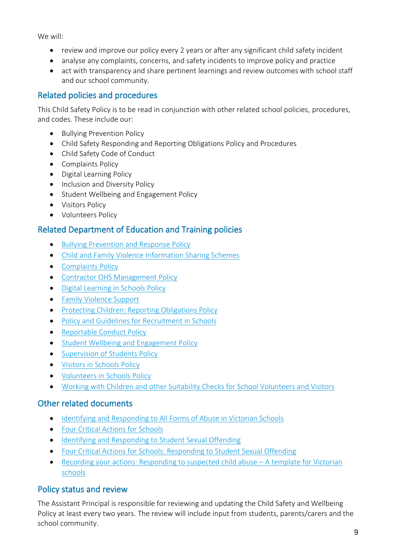We will:

- review and improve our policy every 2 years or after any significant child safety incident
- analyse any complaints, concerns, and safety incidents to improve policy and practice
- act with transparency and share pertinent learnings and review outcomes with school staff and our school community.

### Related policies and procedures

This Child Safety Policy is to be read in conjunction with other related school policies, procedures, and codes. These include our:

- Bullying Prevention Policy
- Child Safety Responding and Reporting Obligations Policy and Procedures
- Child Safety Code of Conduct
- Complaints Policy
- Digital Learning Policy
- Inclusion and Diversity Policy
- Student Wellbeing and Engagement Policy
- Visitors Policy
- Volunteers Policy

## Related Department of Education and Training policies

- [Bullying Prevention and Response Policy](https://www2.education.vic.gov.au/pal/bullying-prevention-response/policy)
- [Child and Family Violence Information Sharing Schemes](https://www2.education.vic.gov.au/pal/information-sharing-schemes/policy)
- [Complaints Policy](https://www2.education.vic.gov.au/pal/complaints/policy)
- [Contractor OHS Management Policy](https://www2.education.vic.gov.au/pal/contractor-ohs-management/policy)
- [Digital Learning in Schools Policy](https://www2.education.vic.gov.au/pal/digital-learning/policy)
- [Family Violence Support](https://www2.education.vic.gov.au/pal/family-violence-support/policy)
- [Protecting Children: Reporting Obligations Policy](https://www2.education.vic.gov.au/pal/protecting-children/policy)
- [Policy and Guidelines for Recruitment in Schools](https://www2.education.vic.gov.au/pal/recruitment-schools/policy-and-guidelines)
- [Reportable Conduct Policy](https://www2.education.vic.gov.au/pal/reportable-conduct-scheme/policy)
- Student [Wellbeing and Engagement Policy](https://www2.education.vic.gov.au/pal/student-engagement/policy)
- [Supervision of Students Policy](https://www2.education.vic.gov.au/pal/supervision-students/policy)
- [Visitors in Schools Policy](https://www2.education.vic.gov.au/pal/visitors/policy)
- [Volunteers in Schools Policy](https://www2.education.vic.gov.au/pal/volunteers/policy)
- [Working with Children and other Suitability Checks for School Volunteers and Visitors](https://www2.education.vic.gov.au/pal/suitability-checks/policy)

#### Other related documents

- [Identifying and Responding to All Forms of Abuse in Victorian Schools](https://www.education.vic.gov.au/Documents/about/programs/health/protect/ChildSafeStandard5_SchoolsGuide.pdf)
- [Four Critical Actions for Schools](https://www.education.vic.gov.au/Documents/about/programs/health/protect/FourCriticalActions_ChildAbuse.pdf)
- [Identifying and Responding to Student Sexual Offending](https://www.education.vic.gov.au/Documents/about/programs/health/protect/SSO_Policy.pdf)
- [Four Critical Actions for Schools: Responding to Student Sexual Offending](https://www.education.vic.gov.au/Documents/about/programs/health/protect/FourCriticalActions_SSO.pdf)
- [Recording your actions: Responding to suspected child abuse](https://www.education.vic.gov.au/Documents/about/programs/health/protect/PROTECT_Schoolstemplate.pdf)  A template for Victorian [schools](https://www.education.vic.gov.au/Documents/about/programs/health/protect/PROTECT_Schoolstemplate.pdf)

## Policy status and review

The Assistant Principal is responsible for reviewing and updating the Child Safety and Wellbeing Policy at least every two years. The review will include input from students, parents/carers and the school community.